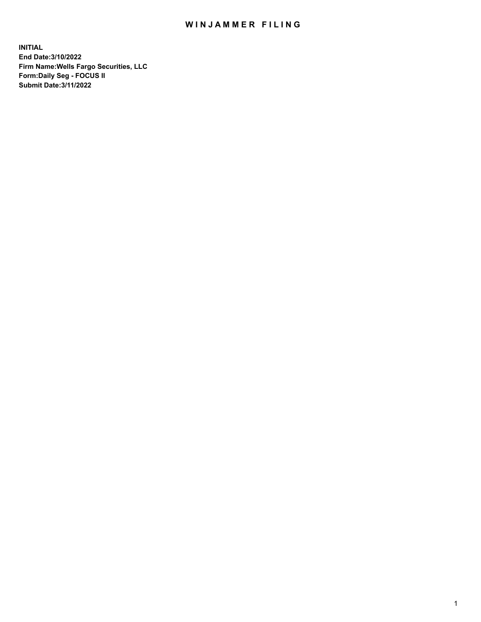## WIN JAMMER FILING

**INITIAL End Date:3/10/2022 Firm Name:Wells Fargo Securities, LLC Form:Daily Seg - FOCUS II Submit Date:3/11/2022**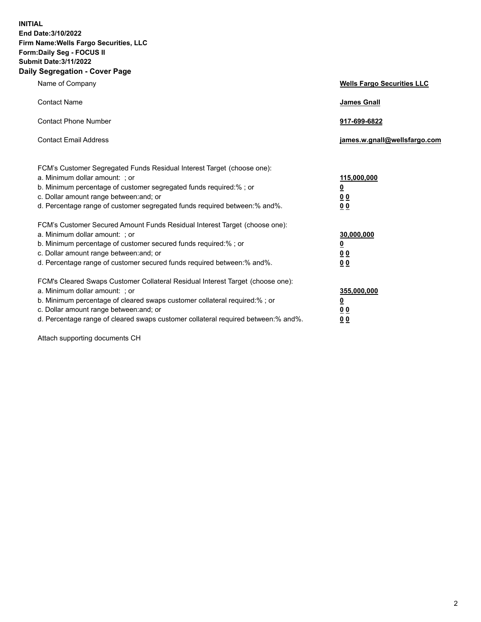**INITIAL End Date:3/10/2022 Firm Name:Wells Fargo Securities, LLC Form:Daily Seg - FOCUS II Submit Date:3/11/2022 Daily Segregation - Cover Page**

| Name of Company                                                                                                                                                                                                                                                                                                               | <b>Wells Fargo Securities LLC</b>                          |
|-------------------------------------------------------------------------------------------------------------------------------------------------------------------------------------------------------------------------------------------------------------------------------------------------------------------------------|------------------------------------------------------------|
| <b>Contact Name</b>                                                                                                                                                                                                                                                                                                           | <b>James Gnall</b>                                         |
| <b>Contact Phone Number</b>                                                                                                                                                                                                                                                                                                   | 917-699-6822                                               |
| <b>Contact Email Address</b>                                                                                                                                                                                                                                                                                                  | james.w.gnall@wellsfargo.com                               |
| FCM's Customer Segregated Funds Residual Interest Target (choose one):<br>a. Minimum dollar amount: ; or<br>b. Minimum percentage of customer segregated funds required:% ; or<br>c. Dollar amount range between: and; or<br>d. Percentage range of customer segregated funds required between:% and%.                        | 115,000,000<br><u>0</u><br>0 <sub>0</sub><br>00            |
| FCM's Customer Secured Amount Funds Residual Interest Target (choose one):<br>a. Minimum dollar amount: ; or<br>b. Minimum percentage of customer secured funds required:%; or<br>c. Dollar amount range between: and; or<br>d. Percentage range of customer secured funds required between: % and %.                         | 30,000,000<br><u>0</u><br>0 <sub>0</sub><br>0 <sub>0</sub> |
| FCM's Cleared Swaps Customer Collateral Residual Interest Target (choose one):<br>a. Minimum dollar amount: ; or<br>b. Minimum percentage of cleared swaps customer collateral required:%; or<br>c. Dollar amount range between: and; or<br>d. Percentage range of cleared swaps customer collateral required between:% and%. | 355,000,000<br><u>0</u><br>00<br>00                        |

Attach supporting documents CH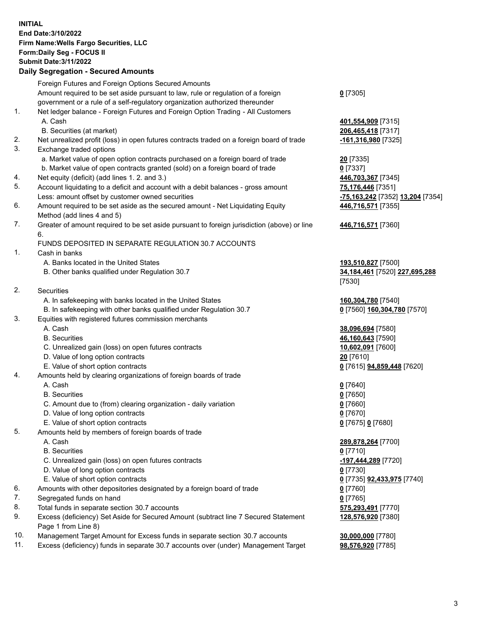**INITIAL End Date:3/10/2022 Firm Name:Wells Fargo Securities, LLC Form:Daily Seg - FOCUS II Submit Date:3/11/2022 Daily Segregation - Secured Amounts**

Foreign Futures and Foreign Options Secured Amounts Amount required to be set aside pursuant to law, rule or regulation of a foreign government or a rule of a self-regulatory organization authorized thereunder **0** [7305] 1. Net ledger balance - Foreign Futures and Foreign Option Trading - All Customers A. Cash **401,554,909** [7315] B. Securities (at market) **206,465,418** [7317] 2. Net unrealized profit (loss) in open futures contracts traded on a foreign board of trade **-161,316,980** [7325] 3. Exchange traded options a. Market value of open option contracts purchased on a foreign board of trade **20** [7335] b. Market value of open contracts granted (sold) on a foreign board of trade **0** [7337] 4. Net equity (deficit) (add lines 1. 2. and 3.) **446,703,367** [7345] 5. Account liquidating to a deficit and account with a debit balances - gross amount **75,176,446** [7351] Less: amount offset by customer owned securities **-75,163,242** [7352] **13,204** [7354] 6. Amount required to be set aside as the secured amount - Net Liquidating Equity Method (add lines 4 and 5) 7. Greater of amount required to be set aside pursuant to foreign jurisdiction (above) or line 6. FUNDS DEPOSITED IN SEPARATE REGULATION 30.7 ACCOUNTS 1. Cash in banks A. Banks located in the United States **193,510,827** [7500] B. Other banks qualified under Regulation 30.7 **34,184,461** [7520] **227,695,288** [7530] 2. Securities A. In safekeeping with banks located in the United States **160,304,780** [7540] B. In safekeeping with other banks qualified under Regulation 30.7 **0** [7560] **160,304,780** [7570] 3. Equities with registered futures commission merchants A. Cash **38,096,694** [7580] B. Securities **46,160,643** [7590] C. Unrealized gain (loss) on open futures contracts **10,602,091** [7600] D. Value of long option contracts **20** [7610] E. Value of short option contracts **0** [7615] **94,859,448** [7620] 4. Amounts held by clearing organizations of foreign boards of trade A. Cash **0** [7640] B. Securities **0** [7650] C. Amount due to (from) clearing organization - daily variation **0** [7660] D. Value of long option contracts **0** [7670] E. Value of short option contracts **0** [7675] **0** [7680] 5. Amounts held by members of foreign boards of trade

- 
- B. Securities **0** [7710]
- C. Unrealized gain (loss) on open futures contracts **-197,444,289** [7720]
- D. Value of long option contracts **0** [7730]
- E. Value of short option contracts **0** [7735] **92,433,975** [7740]
- 6. Amounts with other depositories designated by a foreign board of trade **0** [7760]
- 7. Segregated funds on hand **0** [7765]
- 8. Total funds in separate section 30.7 accounts **575,293,491** [7770]
- 9. Excess (deficiency) Set Aside for Secured Amount (subtract line 7 Secured Statement Page 1 from Line 8)
- 10. Management Target Amount for Excess funds in separate section 30.7 accounts **30,000,000** [7780]
- 11. Excess (deficiency) funds in separate 30.7 accounts over (under) Management Target **98,576,920** [7785]

**446,716,571** [7355]

**446,716,571** [7360]

 A. Cash **289,878,264** [7700] **128,576,920** [7380]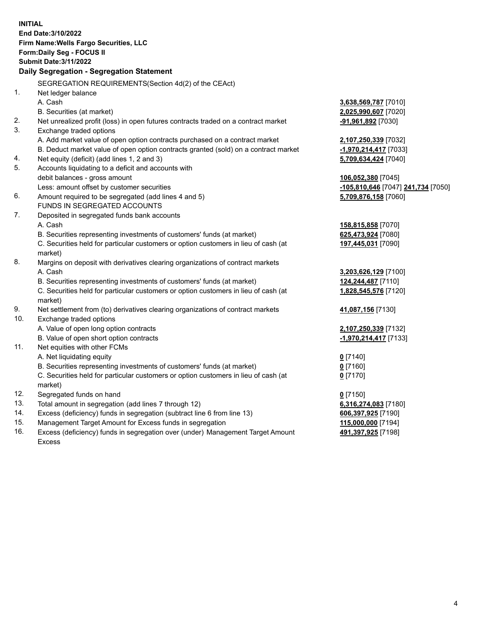**INITIAL End Date:3/10/2022 Firm Name:Wells Fargo Securities, LLC Form:Daily Seg - FOCUS II Submit Date:3/11/2022 Daily Segregation - Segregation Statement** SEGREGATION REQUIREMENTS(Section 4d(2) of the CEAct) 1. Net ledger balance A. Cash **3,638,569,787** [7010] B. Securities (at market) **2,025,990,607** [7020] 2. Net unrealized profit (loss) in open futures contracts traded on a contract market **-91,961,892** [7030] 3. Exchange traded options A. Add market value of open option contracts purchased on a contract market **2,107,250,339** [7032] B. Deduct market value of open option contracts granted (sold) on a contract market **-1,970,214,417** [7033] 4. Net equity (deficit) (add lines 1, 2 and 3) **5,709,634,424** [7040] 5. Accounts liquidating to a deficit and accounts with debit balances - gross amount **106,052,380** [7045] Less: amount offset by customer securities **-105,810,646** [7047] **241,734** [7050] 6. Amount required to be segregated (add lines 4 and 5) **5,709,876,158** [7060] FUNDS IN SEGREGATED ACCOUNTS 7. Deposited in segregated funds bank accounts A. Cash **158,815,858** [7070] B. Securities representing investments of customers' funds (at market) **625,473,924** [7080] C. Securities held for particular customers or option customers in lieu of cash (at market) **197,445,031** [7090] 8. Margins on deposit with derivatives clearing organizations of contract markets A. Cash **3,203,626,129** [7100] B. Securities representing investments of customers' funds (at market) **124,244,487** [7110] C. Securities held for particular customers or option customers in lieu of cash (at market) **1,828,545,576** [7120] 9. Net settlement from (to) derivatives clearing organizations of contract markets **41,087,156** [7130] 10. Exchange traded options A. Value of open long option contracts **2,107,250,339** [7132] B. Value of open short option contracts **-1,970,214,417** [7133] 11. Net equities with other FCMs A. Net liquidating equity **0** [7140] B. Securities representing investments of customers' funds (at market) **0** [7160] C. Securities held for particular customers or option customers in lieu of cash (at market) **0** [7170] 12. Segregated funds on hand **0** [7150] 13. Total amount in segregation (add lines 7 through 12) **6,316,274,083** [7180] 14. Excess (deficiency) funds in segregation (subtract line 6 from line 13) **606,397,925** [7190] 15. Management Target Amount for Excess funds in segregation **115,000,000** [7194] 16. Excess (deficiency) funds in segregation over (under) Management Target Amount **491,397,925** [7198]

Excess